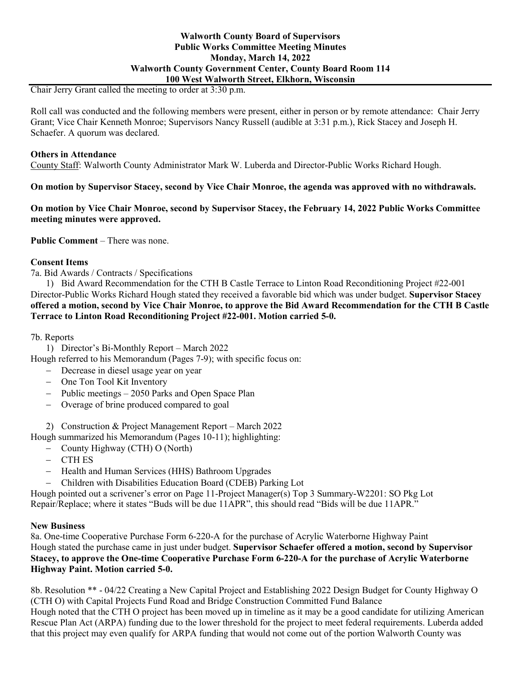## **Walworth County Board of Supervisors Public Works Committee Meeting Minutes Monday, March 14, 2022 Walworth County Government Center, County Board Room 114 100 West Walworth Street, Elkhorn, Wisconsin**

Chair Jerry Grant called the meeting to order at 3:30 p.m.

Roll call was conducted and the following members were present, either in person or by remote attendance: Chair Jerry Grant; Vice Chair Kenneth Monroe; Supervisors Nancy Russell (audible at 3:31 p.m.), Rick Stacey and Joseph H. Schaefer. A quorum was declared.

## **Others in Attendance**

County Staff: Walworth County Administrator Mark W. Luberda and Director-Public Works Richard Hough.

**On motion by Supervisor Stacey, second by Vice Chair Monroe, the agenda was approved with no withdrawals.**

**On motion by Vice Chair Monroe, second by Supervisor Stacey, the February 14, 2022 Public Works Committee meeting minutes were approved.**

**Public Comment** – There was none.

# **Consent Items**

7a. Bid Awards / Contracts / Specifications

1) Bid Award Recommendation for the CTH B Castle Terrace to Linton Road Reconditioning Project #22-001 Director-Public Works Richard Hough stated they received a favorable bid which was under budget. **Supervisor Stacey offered a motion, second by Vice Chair Monroe, to approve the Bid Award Recommendation for the CTH B Castle Terrace to Linton Road Reconditioning Project #22-001. Motion carried 5-0.**

7b. Reports

1) Director's Bi-Monthly Report – March 2022

Hough referred to his Memorandum (Pages 7-9); with specific focus on:

- − Decrease in diesel usage year on year
- − One Ton Tool Kit Inventory
- − Public meetings 2050 Parks and Open Space Plan
- − Overage of brine produced compared to goal

2) Construction & Project Management Report – March 2022

Hough summarized his Memorandum (Pages 10-11); highlighting:

- − County Highway (CTH) O (North)
- − CTH ES
- − Health and Human Services (HHS) Bathroom Upgrades
- − Children with Disabilities Education Board (CDEB) Parking Lot

Hough pointed out a scrivener's error on Page 11-Project Manager(s) Top 3 Summary-W2201: SO Pkg Lot Repair/Replace; where it states "Buds will be due 11APR", this should read "Bids will be due 11APR."

## **New Business**

8a. One-time Cooperative Purchase Form 6-220-A for the purchase of Acrylic Waterborne Highway Paint Hough stated the purchase came in just under budget. **Supervisor Schaefer offered a motion, second by Supervisor Stacey, to approve the One-time Cooperative Purchase Form 6-220-A for the purchase of Acrylic Waterborne Highway Paint. Motion carried 5-0.**

8b. Resolution \*\* - 04/22 Creating a New Capital Project and Establishing 2022 Design Budget for County Highway O (CTH O) with Capital Projects Fund Road and Bridge Construction Committed Fund Balance Hough noted that the CTH O project has been moved up in timeline as it may be a good candidate for utilizing American Rescue Plan Act (ARPA) funding due to the lower threshold for the project to meet federal requirements. Luberda added that this project may even qualify for ARPA funding that would not come out of the portion Walworth County was